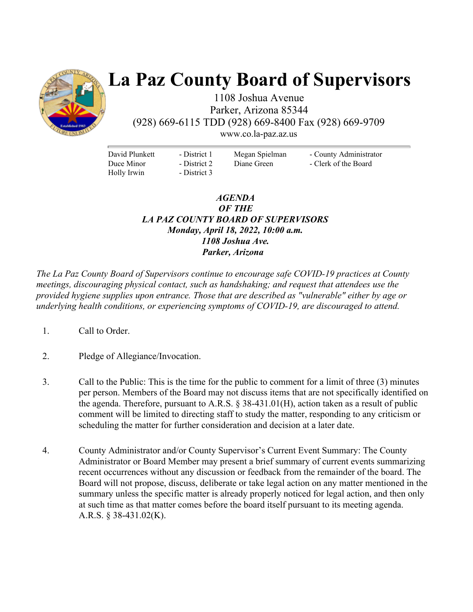

# **La Paz County Board of Supervisors**

1108 Joshua Avenue Parker, Arizona 85344 (928) 669-6115 TDD (928) 669-8400 Fax (928) 669-9709

www.co.la-paz.az.us

David Plunkett Duce Minor Holly Irwin

- District 1 - District 2 - District 3 Megan Spielman Diane Green

- County Administrator - Clerk of the Board

## *AGENDA OF THE LA PAZ COUNTY BOARD OF SUPERVISORS Monday, April 18, 2022, 10:00 a.m. 1108 Joshua Ave. Parker, Arizona*

*The La Paz County Board of Supervisors continue to encourage safe COVID-19 practices at County meetings, discouraging physical contact, such as handshaking; and request that attendees use the provided hygiene supplies upon entrance. Those that are described as "vulnerable" either by age or underlying health conditions, or experiencing symptoms of COVID-19, are discouraged to attend.* 

- 1. Call to Order.
- 2. Pledge of Allegiance/Invocation.
- 3. Call to the Public: This is the time for the public to comment for a limit of three (3) minutes per person. Members of the Board may not discuss items that are not specifically identified on the agenda. Therefore, pursuant to A.R.S.  $\S$  38-431.01(H), action taken as a result of public comment will be limited to directing staff to study the matter, responding to any criticism or scheduling the matter for further consideration and decision at a later date.
- 4. County Administrator and/or County Supervisor's Current Event Summary: The County Administrator or Board Member may present a brief summary of current events summarizing recent occurrences without any discussion or feedback from the remainder of the board. The Board will not propose, discuss, deliberate or take legal action on any matter mentioned in the summary unless the specific matter is already properly noticed for legal action, and then only at such time as that matter comes before the board itself pursuant to its meeting agenda. A.R.S. § 38-431.02(K).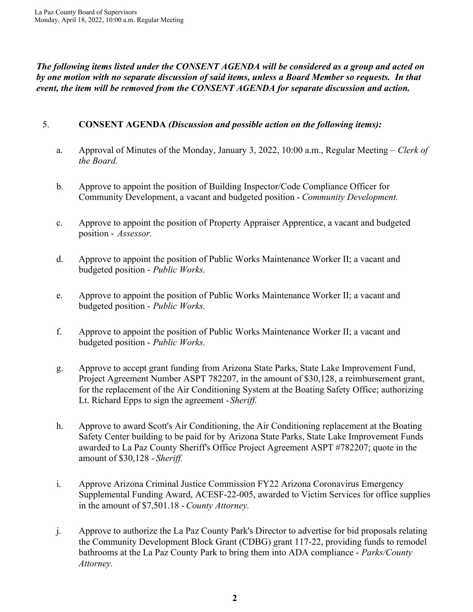*The following items listed under the CONSENT AGENDA will be considered as a group and acted on by one motion with no separate discussion of said items, unless a Board Member so requests. In that event, the item will be removed from the CONSENT AGENDA for separate discussion and action.* 

## 5. **CONSENT AGENDA** *(Discussion and possible action on the following items):*

- a. Approval of Minutes of the Monday, January 3, 2022, 10:00 a.m., Regular Meeting *Clerk of the Board.*
- b. Approve to appoint the position of Building Inspector/Code Compliance Officer for Community Development, a vacant and budgeted position - *Community Development.*
- c. Approve to appoint the position of Property Appraiser Apprentice, a vacant and budgeted position - *Assessor.*
- d. Approve to appoint the position of Public Works Maintenance Worker II; a vacant and budgeted position - *Public Works.*
- e. Approve to appoint the position of Public Works Maintenance Worker II; a vacant and budgeted position - *Public Works.*
- f. Approve to appoint the position of Public Works Maintenance Worker II; a vacant and budgeted position - *Public Works.*
- g. Approve to accept grant funding from Arizona State Parks, State Lake Improvement Fund, Project Agreement Number ASPT 782207, in the amount of \$30,128, a reimbursement grant, for the replacement of the Air Conditioning System at the Boating Safety Office; authorizing Lt. Richard Epps to sign the agreement - *Sheriff.*
- h. Approve to award Scott's Air Conditioning, the Air Conditioning replacement at the Boating Safety Center building to be paid for by Arizona State Parks, State Lake Improvement Funds awarded to La Paz County Sheriff's Office Project Agreement ASPT #782207; quote in the amount of \$30,128 - *Sheriff.*
- i. Approve Arizona Criminal Justice Commission FY22 Arizona Coronavirus Emergency Supplemental Funding Award, ACESF-22-005, awarded to Victim Services for office supplies in the amount of \$7,501.18 - *County Attorney.*
- j. Approve to authorize the La Paz County Park's Director to advertise for bid proposals relating the Community Development Block Grant (CDBG) grant 117-22, providing funds to remodel bathrooms at the La Paz County Park to bring them into ADA compliance - *Parks/County Attorney.*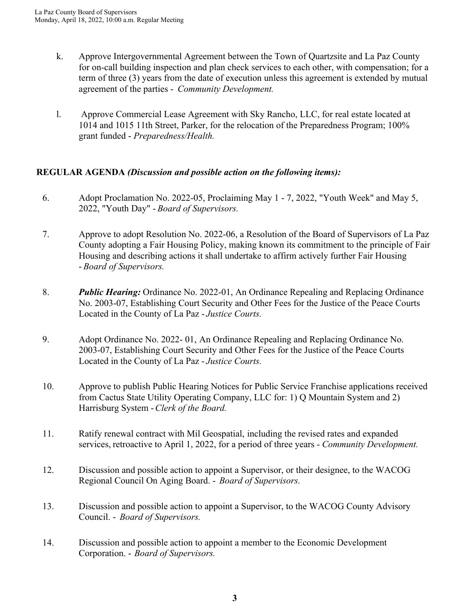- k. Approve Intergovernmental Agreement between the Town of Quartzsite and La Paz County for on-call building inspection and plan check services to each other, with compensation; for a term of three (3) years from the date of execution unless this agreement is extended by mutual agreement of the parties - *Community Development.*
- l. Approve Commercial Lease Agreement with Sky Rancho, LLC, for real estate located at 1014 and 1015 11th Street, Parker, for the relocation of the Preparedness Program; 100% grant funded - *Preparedness/Health.*

## **REGULAR AGENDA** *(Discussion and possible action on the following items):*

- 6. Adopt Proclamation No. 2022-05, Proclaiming May 1 7, 2022, "Youth Week" and May 5, 2022, "Youth Day" - *Board of Supervisors.*
- 7. Approve to adopt Resolution No. 2022-06, a Resolution of the Board of Supervisors of La Paz County adopting a Fair Housing Policy, making known its commitment to the principle of Fair Housing and describing actions it shall undertake to affirm actively further Fair Housing - *Board of Supervisors.*
- 8. *Public Hearing:* Ordinance No. 2022-01, An Ordinance Repealing and Replacing Ordinance No. 2003-07, Establishing Court Security and Other Fees for the Justice of the Peace Courts Located in the County of La Paz - *Justice Courts.*
- 9. Adopt Ordinance No. 2022- 01, An Ordinance Repealing and Replacing Ordinance No. 2003-07, Establishing Court Security and Other Fees for the Justice of the Peace Courts Located in the County of La Paz - *Justice Courts.*
- 10. Approve to publish Public Hearing Notices for Public Service Franchise applications received from Cactus State Utility Operating Company, LLC for: 1) Q Mountain System and 2) Harrisburg System - *Clerk of the Board.*
- 11. Ratify renewal contract with Mil Geospatial, including the revised rates and expanded services, retroactive to April 1, 2022, for a period of three years - *Community Development.*
- 12. Discussion and possible action to appoint a Supervisor, or their designee, to the WACOG Regional Council On Aging Board. - *Board of Supervisors.*
- 13. Discussion and possible action to appoint a Supervisor, to the WACOG County Advisory Council. - *Board of Supervisors.*
- 14. Discussion and possible action to appoint a member to the Economic Development Corporation. - *Board of Supervisors.*